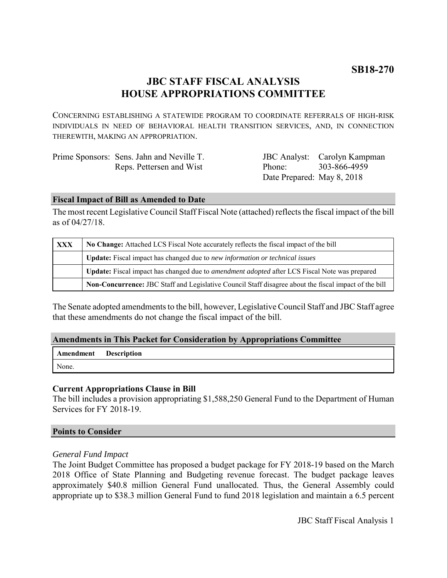# **JBC STAFF FISCAL ANALYSIS HOUSE APPROPRIATIONS COMMITTEE**

CONCERNING ESTABLISHING A STATEWIDE PROGRAM TO COORDINATE REFERRALS OF HIGH-RISK INDIVIDUALS IN NEED OF BEHAVIORAL HEALTH TRANSITION SERVICES, AND, IN CONNECTION THEREWITH, MAKING AN APPROPRIATION.

| Prime Sponsors: Sens. Jahn and Neville T. |
|-------------------------------------------|
| Reps. Pettersen and Wist                  |

JBC Analyst: Carolyn Kampman Phone: Date Prepared: May 8, 2018 303-866-4959

# **Fiscal Impact of Bill as Amended to Date**

The most recent Legislative Council Staff Fiscal Note (attached) reflects the fiscal impact of the bill as of 04/27/18.

| <b>XXX</b> | No Change: Attached LCS Fiscal Note accurately reflects the fiscal impact of the bill                 |  |
|------------|-------------------------------------------------------------------------------------------------------|--|
|            | Update: Fiscal impact has changed due to new information or technical issues                          |  |
|            | Update: Fiscal impact has changed due to <i>amendment adopted</i> after LCS Fiscal Note was prepared  |  |
|            | Non-Concurrence: JBC Staff and Legislative Council Staff disagree about the fiscal impact of the bill |  |

The Senate adopted amendments to the bill, however, Legislative Council Staff and JBC Staff agree that these amendments do not change the fiscal impact of the bill.

# **Amendments in This Packet for Consideration by Appropriations Committee**

| <b>Amendment</b> Description |  |
|------------------------------|--|
| None.                        |  |

# **Current Appropriations Clause in Bill**

The bill includes a provision appropriating \$1,588,250 General Fund to the Department of Human Services for FY 2018-19.

### **Points to Consider**

### *General Fund Impact*

The Joint Budget Committee has proposed a budget package for FY 2018-19 based on the March 2018 Office of State Planning and Budgeting revenue forecast. The budget package leaves approximately \$40.8 million General Fund unallocated. Thus, the General Assembly could appropriate up to \$38.3 million General Fund to fund 2018 legislation and maintain a 6.5 percent